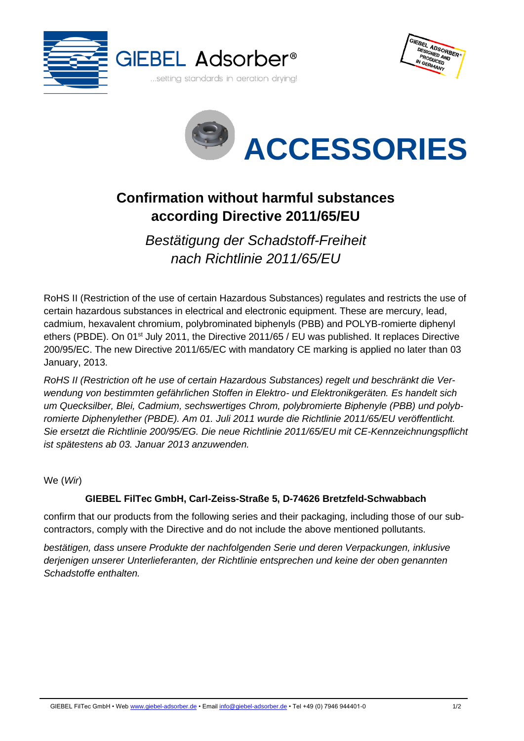





## **Confirmation without harmful substances according Directive 2011/65/EU**

*Bestätigung der Schadstoff-Freiheit nach Richtlinie 2011/65/EU*

RoHS II (Restriction of the use of certain Hazardous Substances) regulates and restricts the use of certain hazardous substances in electrical and electronic equipment. These are mercury, lead, cadmium, hexavalent chromium, polybrominated biphenyls (PBB) and POLYB-romierte diphenyl ethers (PBDE). On 01<sup>st</sup> July 2011, the Directive 2011/65 / EU was published. It replaces Directive 200/95/EC. The new Directive 2011/65/EC with mandatory CE marking is applied no later than 03 January, 2013.

*RoHS II (Restriction oft he use of certain Hazardous Substances) regelt und beschränkt die Verwendung von bestimmten gefährlichen Stoffen in Elektro- und Elektronikgeräten. Es handelt sich um Quecksilber, Blei, Cadmium, sechswertiges Chrom, polybromierte Biphenyle (PBB) und polybromierte Diphenylether (PBDE). Am 01. Juli 2011 wurde die Richtlinie 2011/65/EU veröffentlicht. Sie ersetzt die Richtlinie 200/95/EG. Die neue Richtlinie 2011/65/EU mit CE-Kennzeichnungspflicht ist spätestens ab 03. Januar 2013 anzuwenden.*

We (*Wir*)

## **GIEBEL FilTec GmbH, Carl-Zeiss-Straße 5, D-74626 Bretzfeld-Schwabbach**

confirm that our products from the following series and their packaging, including those of our subcontractors, comply with the Directive and do not include the above mentioned pollutants.

*bestätigen, dass unsere Produkte der nachfolgenden Serie und deren Verpackungen, inklusive derjenigen unserer Unterlieferanten, der Richtlinie entsprechen und keine der oben genannten Schadstoffe enthalten.*